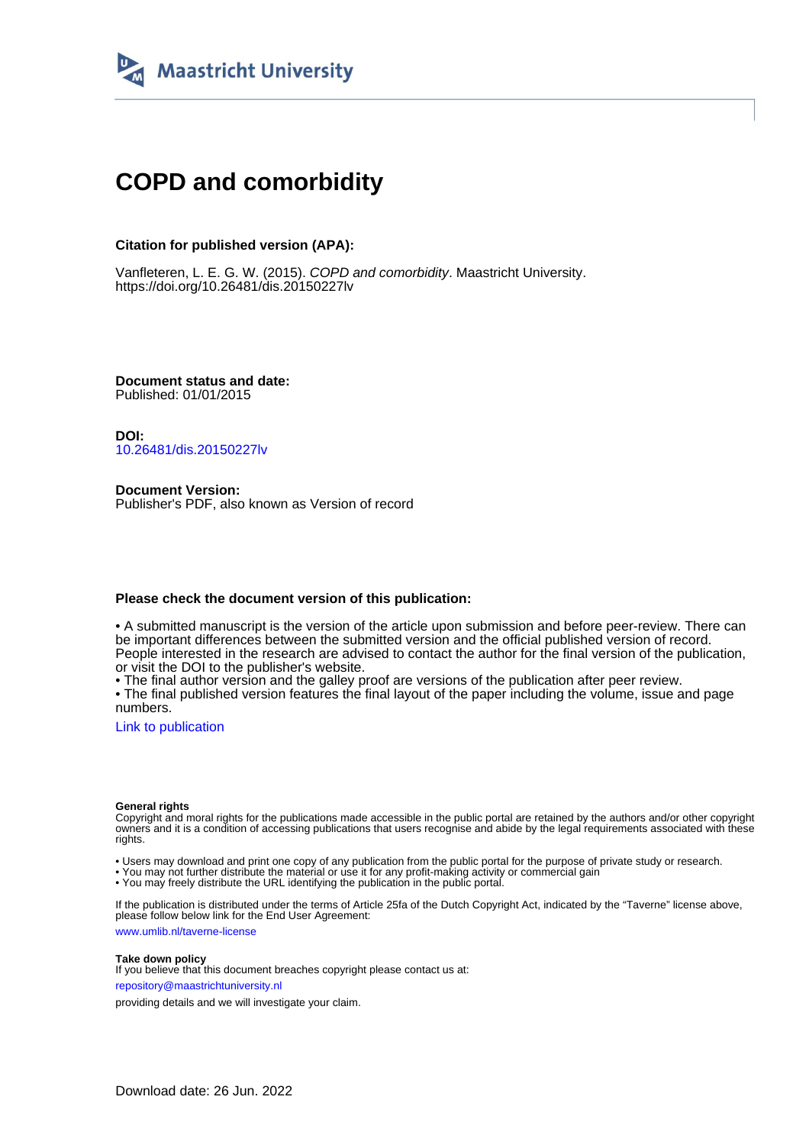

## **COPD and comorbidity**

### **Citation for published version (APA):**

Vanfleteren, L. E. G. W. (2015). COPD and comorbidity. Maastricht University. <https://doi.org/10.26481/dis.20150227lv>

**Document status and date:** Published: 01/01/2015

**DOI:** [10.26481/dis.20150227lv](https://doi.org/10.26481/dis.20150227lv)

**Document Version:** Publisher's PDF, also known as Version of record

### **Please check the document version of this publication:**

• A submitted manuscript is the version of the article upon submission and before peer-review. There can be important differences between the submitted version and the official published version of record. People interested in the research are advised to contact the author for the final version of the publication, or visit the DOI to the publisher's website.

• The final author version and the galley proof are versions of the publication after peer review.

• The final published version features the final layout of the paper including the volume, issue and page numbers.

[Link to publication](https://cris.maastrichtuniversity.nl/en/publications/b69299d3-6944-4731-9346-872fdc1a62ab)

#### **General rights**

Copyright and moral rights for the publications made accessible in the public portal are retained by the authors and/or other copyright owners and it is a condition of accessing publications that users recognise and abide by the legal requirements associated with these rights.

• Users may download and print one copy of any publication from the public portal for the purpose of private study or research.

• You may not further distribute the material or use it for any profit-making activity or commercial gain

• You may freely distribute the URL identifying the publication in the public portal.

If the publication is distributed under the terms of Article 25fa of the Dutch Copyright Act, indicated by the "Taverne" license above, please follow below link for the End User Agreement:

www.umlib.nl/taverne-license

#### **Take down policy**

If you believe that this document breaches copyright please contact us at: repository@maastrichtuniversity.nl

providing details and we will investigate your claim.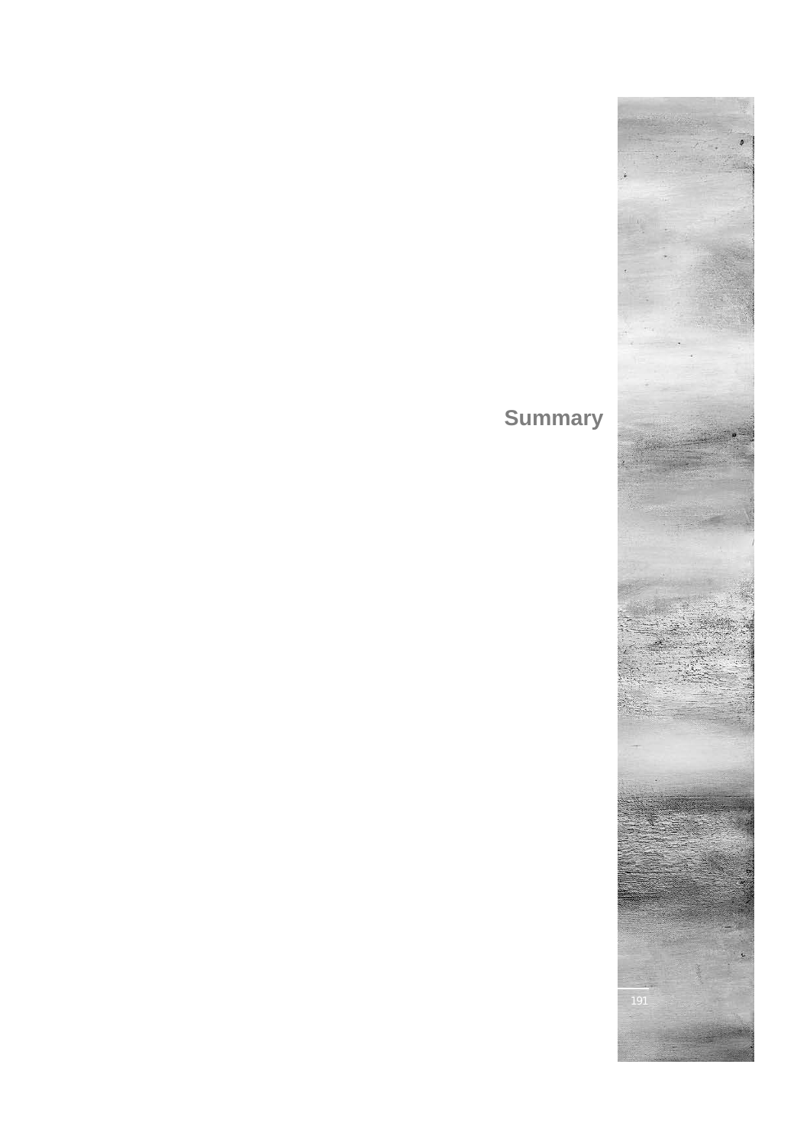# **Summary**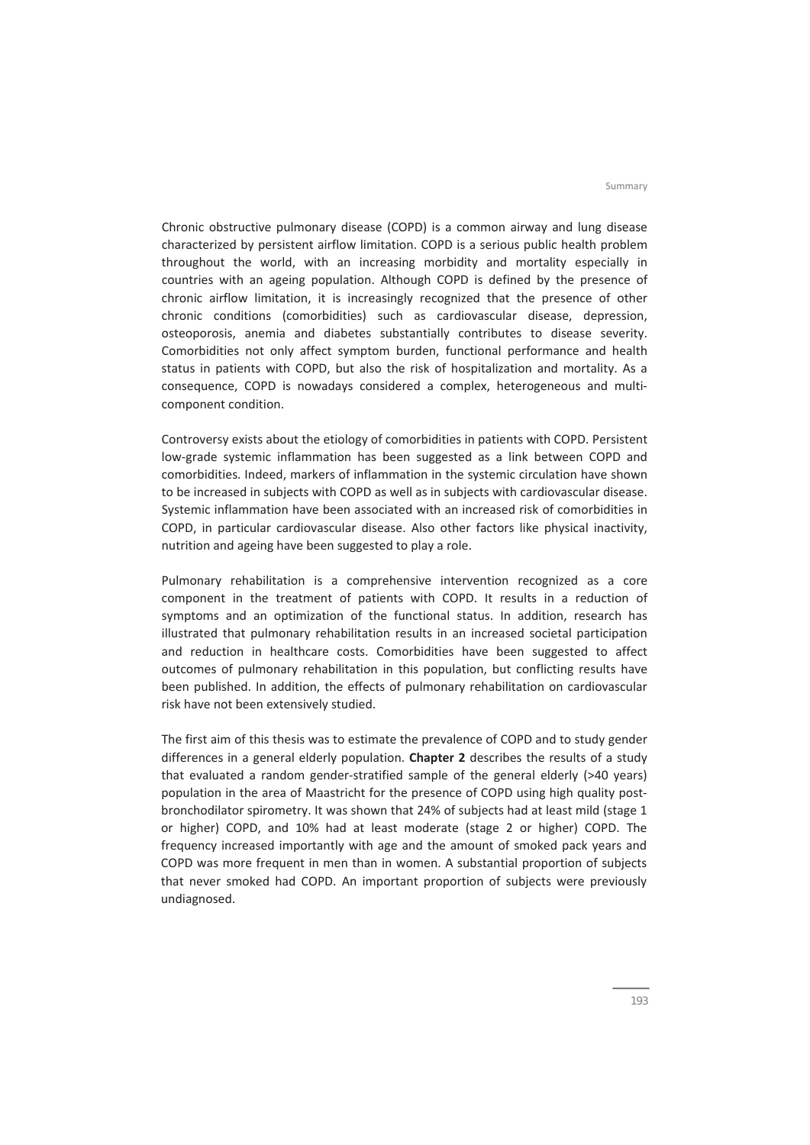Chronic obstructive pulmonary disease (COPD) is a common airway and lung disease characterized by persistent airflow limitation. COPD is a serious public health problem throughout the world, with an increasing morbidity and mortality especially in countries with an ageing population. Although COPD is defined by the presence of chronic airflow limitation, it is increasingly recognized that the presence of other chronic conditions (comorbidities) such as cardiovascular disease, depression, osteoporosis, anemia and diabetes substantially contributes to disease severity. Comorbidities not only affect symptom burden, functional performance and health status in patients with COPD, but also the risk of hospitalization and mortality. As a consequence, COPD is nowadays considered a complex, heterogeneous and multicomponent condition.

Controversy exists about the etiology of comorbidities in patients with COPD. Persistent low‐grade systemic inflammation has been suggested as a link between COPD and comorbidities. Indeed, markers of inflammation in the systemic circulation have shown to be increased in subjects with COPD as well as in subjects with cardiovascular disease. Systemic inflammation have been associated with an increased risk of comorbidities in COPD, in particular cardiovascular disease. Also other factors like physical inactivity, nutrition and ageing have been suggested to play a role.

Pulmonary rehabilitation is a comprehensive intervention recognized as a core component in the treatment of patients with COPD. It results in a reduction of symptoms and an optimization of the functional status. In addition, research has illustrated that pulmonary rehabilitation results in an increased societal participation and reduction in healthcare costs. Comorbidities have been suggested to affect outcomes of pulmonary rehabilitation in this population, but conflicting results have been published. In addition, the effects of pulmonary rehabilitation on cardiovascular risk have not been extensively studied.

The first aim of this thesis was to estimate the prevalence of COPD and to study gender differences in a general elderly population. **Chapter 2** describes the results of a study that evaluated a random gender‐stratified sample of the general elderly (>40 years) population in the area of Maastricht for the presence of COPD using high quality postbronchodilator spirometry. It was shown that 24% of subjects had at least mild (stage 1 or higher) COPD, and 10% had at least moderate (stage 2 or higher) COPD. The frequency increased importantly with age and the amount of smoked pack years and COPD was more frequent in men than in women. A substantial proportion of subjects that never smoked had COPD. An important proportion of subjects were previously undiagnosed.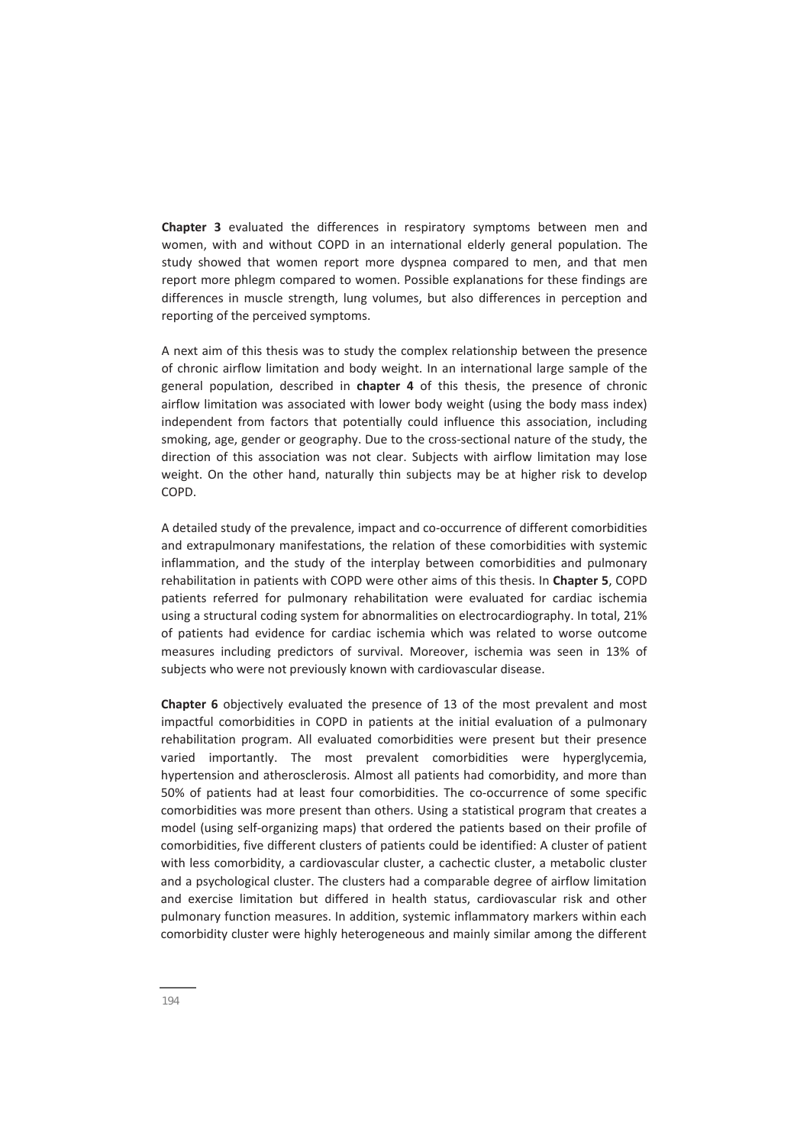**Chapter 3** evaluated the differences in respiratory symptoms between men and women, with and without COPD in an international elderly general population. The study showed that women report more dyspnea compared to men, and that men report more phlegm compared to women. Possible explanations for these findings are differences in muscle strength, lung volumes, but also differences in perception and reporting of the perceived symptoms.

A next aim of this thesis was to study the complex relationship between the presence of chronic airflow limitation and body weight. In an international large sample of the general population, described in **chapter 4** of this thesis, the presence of chronic airflow limitation was associated with lower body weight (using the body mass index) independent from factors that potentially could influence this association, including smoking, age, gender or geography. Due to the cross‐sectional nature of the study, the direction of this association was not clear. Subjects with airflow limitation may lose weight. On the other hand, naturally thin subjects may be at higher risk to develop COPD.

A detailed study of the prevalence, impact and co‐occurrence of different comorbidities and extrapulmonary manifestations, the relation of these comorbidities with systemic inflammation, and the study of the interplay between comorbidities and pulmonary rehabilitation in patients with COPD were other aims of this thesis. In **Chapter 5**, COPD patients referred for pulmonary rehabilitation were evaluated for cardiac ischemia using a structural coding system for abnormalities on electrocardiography. In total, 21% of patients had evidence for cardiac ischemia which was related to worse outcome measures including predictors of survival. Moreover, ischemia was seen in 13% of subjects who were not previously known with cardiovascular disease.

**Chapter 6** objectively evaluated the presence of 13 of the most prevalent and most impactful comorbidities in COPD in patients at the initial evaluation of a pulmonary rehabilitation program. All evaluated comorbidities were present but their presence varied importantly. The most prevalent comorbidities were hyperglycemia, hypertension and atherosclerosis. Almost all patients had comorbidity, and more than 50% of patients had at least four comorbidities. The co-occurrence of some specific comorbidities was more present than others. Using a statistical program that creates a model (using self‐organizing maps) that ordered the patients based on their profile of comorbidities, five different clusters of patients could be identified: A cluster of patient with less comorbidity, a cardiovascular cluster, a cachectic cluster, a metabolic cluster and a psychological cluster. The clusters had a comparable degree of airflow limitation and exercise limitation but differed in health status, cardiovascular risk and other pulmonary function measures. In addition, systemic inflammatory markers within each comorbidity cluster were highly heterogeneous and mainly similar among the different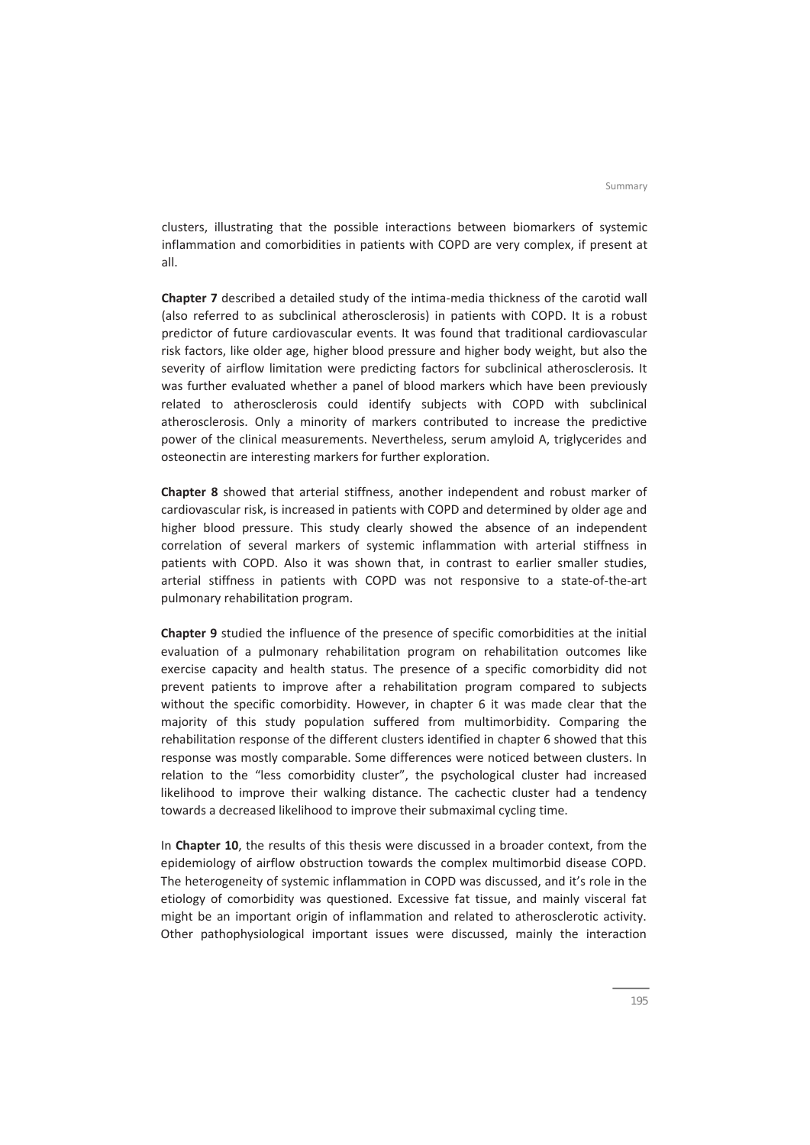clusters, illustrating that the possible interactions between biomarkers of systemic inflammation and comorbidities in patients with COPD are very complex, if present at all.

**Chapter 7** described a detailed study of the intima‐media thickness of the carotid wall (also referred to as subclinical atherosclerosis) in patients with COPD. It is a robust predictor of future cardiovascular events. It was found that traditional cardiovascular risk factors, like older age, higher blood pressure and higher body weight, but also the severity of airflow limitation were predicting factors for subclinical atherosclerosis. It was further evaluated whether a panel of blood markers which have been previously related to atherosclerosis could identify subjects with COPD with subclinical atherosclerosis. Only a minority of markers contributed to increase the predictive power of the clinical measurements. Nevertheless, serum amyloid A, triglycerides and osteonectin are interesting markers for further exploration.

**Chapter 8** showed that arterial stiffness, another independent and robust marker of cardiovascular risk, is increased in patients with COPD and determined by older age and higher blood pressure. This study clearly showed the absence of an independent correlation of several markers of systemic inflammation with arterial stiffness in patients with COPD. Also it was shown that, in contrast to earlier smaller studies, arterial stiffness in patients with COPD was not responsive to a state‐of‐the‐art pulmonary rehabilitation program.

**Chapter 9** studied the influence of the presence of specific comorbidities at the initial evaluation of a pulmonary rehabilitation program on rehabilitation outcomes like exercise capacity and health status. The presence of a specific comorbidity did not prevent patients to improve after a rehabilitation program compared to subjects without the specific comorbidity. However, in chapter 6 it was made clear that the majority of this study population suffered from multimorbidity. Comparing the rehabilitation response of the different clusters identified in chapter 6 showed that this response was mostly comparable. Some differences were noticed between clusters. In relation to the "less comorbidity cluster", the psychological cluster had increased likelihood to improve their walking distance. The cachectic cluster had a tendency towards a decreased likelihood to improve their submaximal cycling time.

In **Chapter 10**, the results of this thesis were discussed in a broader context, from the epidemiology of airflow obstruction towards the complex multimorbid disease COPD. The heterogeneity of systemic inflammation in COPD was discussed, and it's role in the etiology of comorbidity was questioned. Excessive fat tissue, and mainly visceral fat might be an important origin of inflammation and related to atherosclerotic activity. Other pathophysiological important issues were discussed, mainly the interaction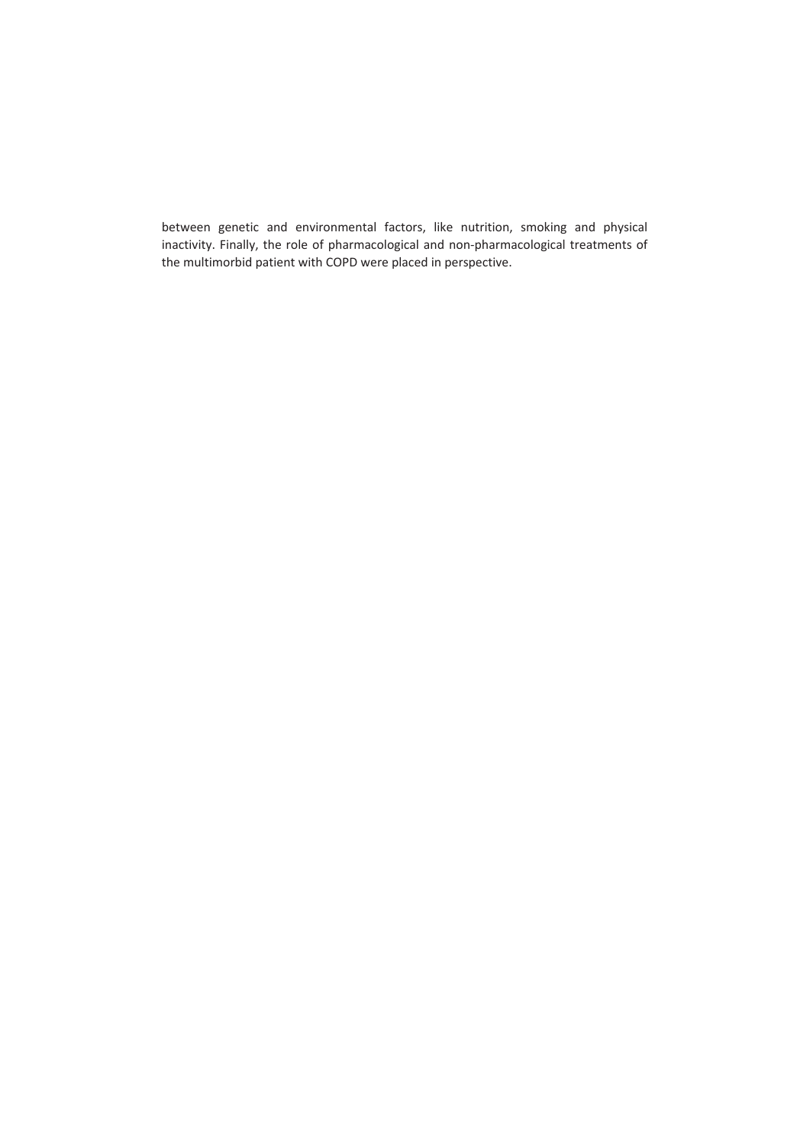between genetic and environmental factors, like nutrition, smoking and physical inactivity. Finally, the role of pharmacological and non‐pharmacological treatments of the multimorbid patient with COPD were placed in perspective.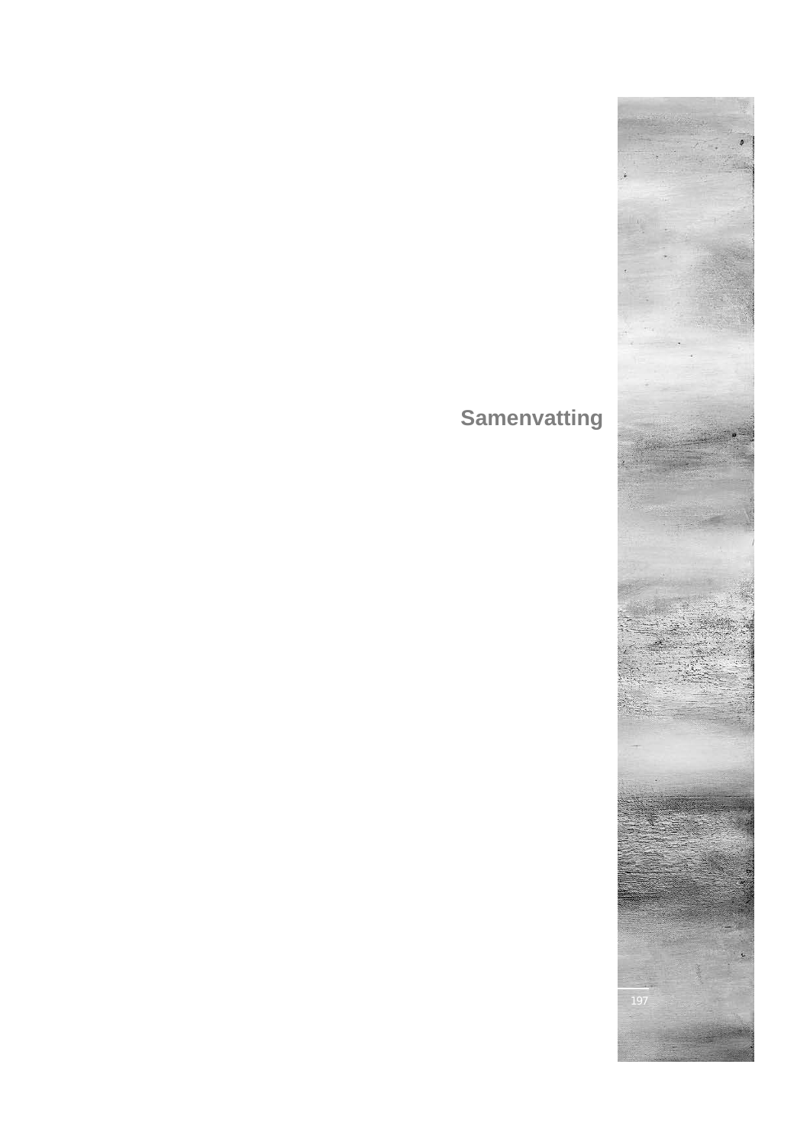# **Samenvatting**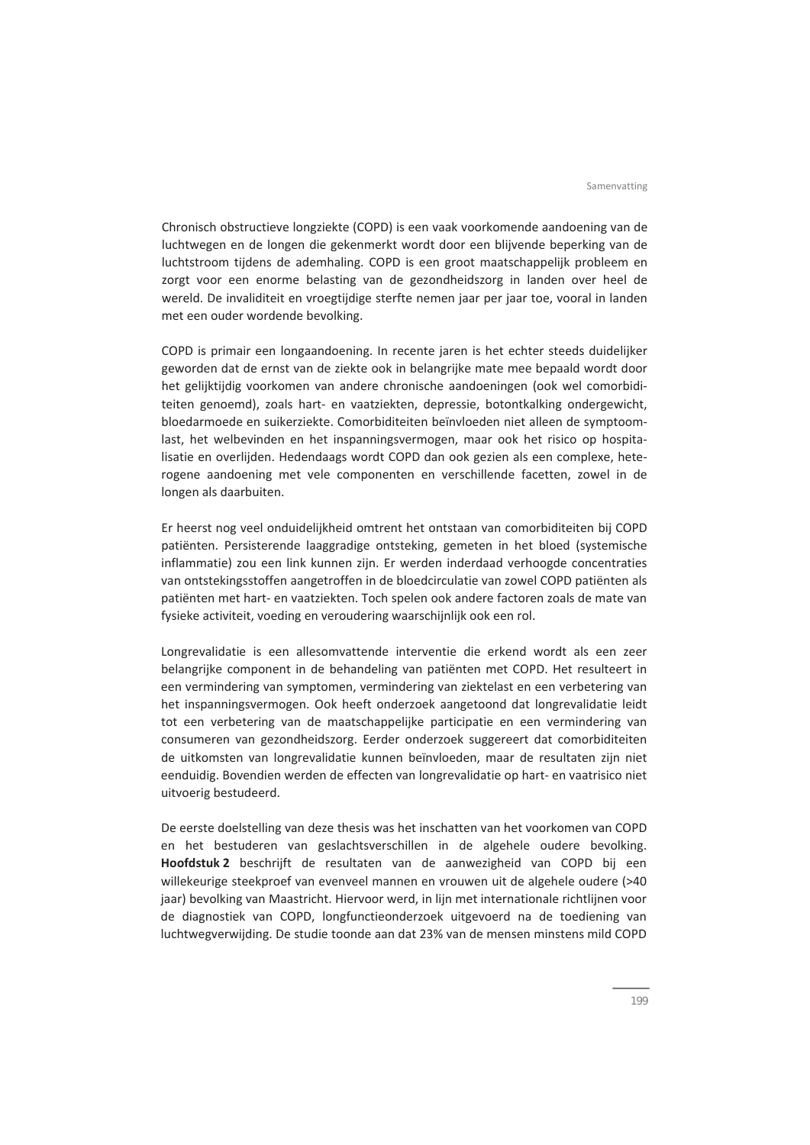Chronisch obstructieve longziekte (COPD) is een vaak voorkomende aandoening van de luchtwegen en de longen die gekenmerkt wordt door een blijvende beperking van de luchtstroom tijdens de ademhaling. COPD is een groot maatschappelijk probleem en zorgt voor een enorme belasting van de gezondheidszorg in landen over heel de wereld. De invaliditeit en vroegtijdige sterfte nemen jaar per jaar toe, vooral in landen met een ouder wordende bevolking.

COPD is primair een longaandoening. In recente jaren is het echter steeds duidelijker geworden dat de ernst van de ziekte ook in belangrijke mate mee bepaald wordt door het gelijktijdig voorkomen van andere chronische aandoeningen (ook wel comorbidi‐ teiten genoemd), zoals hart‐ en vaatziekten, depressie, botontkalking ondergewicht, bloedarmoede en suikerziekte. Comorbiditeiten beïnvloeden niet alleen de symptoom‐ last, het welbevinden en het inspanningsvermogen, maar ook het risico op hospita‐ lisatie en overlijden. Hedendaags wordt COPD dan ook gezien als een complexe, hete‐ rogene aandoening met vele componenten en verschillende facetten, zowel in de longen als daarbuiten.

Er heerst nog veel onduidelijkheid omtrent het ontstaan van comorbiditeiten bij COPD patiënten. Persisterende laaggradige ontsteking, gemeten in het bloed (systemische inflammatie) zou een link kunnen zijn. Er werden inderdaad verhoogde concentraties van ontstekingsstoffen aangetroffen in de bloedcirculatie van zowel COPD patiënten als patiënten met hart‐ en vaatziekten. Toch spelen ook andere factoren zoals de mate van fysieke activiteit, voeding en veroudering waarschijnlijk ook een rol.

Longrevalidatie is een allesomvattende interventie die erkend wordt als een zeer belangrijke component in de behandeling van patiënten met COPD. Het resulteert in een vermindering van symptomen, vermindering van ziektelast en een verbetering van het inspanningsvermogen. Ook heeft onderzoek aangetoond dat longrevalidatie leidt tot een verbetering van de maatschappelijke participatie en een vermindering van consumeren van gezondheidszorg. Eerder onderzoek suggereert dat comorbiditeiten de uitkomsten van longrevalidatie kunnen beïnvloeden, maar de resultaten zijn niet eenduidig. Bovendien werden de effecten van longrevalidatie op hart‐ en vaatrisico niet uitvoerig bestudeerd.

De eerste doelstelling van deze thesis was het inschatten van het voorkomen van COPD en het bestuderen van geslachtsverschillen in de algehele oudere bevolking. **Hoofdstuk 2** beschrijft de resultaten van de aanwezigheid van COPD bij een willekeurige steekproef van evenveel mannen en vrouwen uit de algehele oudere (>40 jaar) bevolking van Maastricht. Hiervoor werd, in lijn met internationale richtlijnen voor de diagnostiek van COPD, longfunctieonderzoek uitgevoerd na de toediening van luchtwegverwijding. De studie toonde aan dat 23% van de mensen minstens mild COPD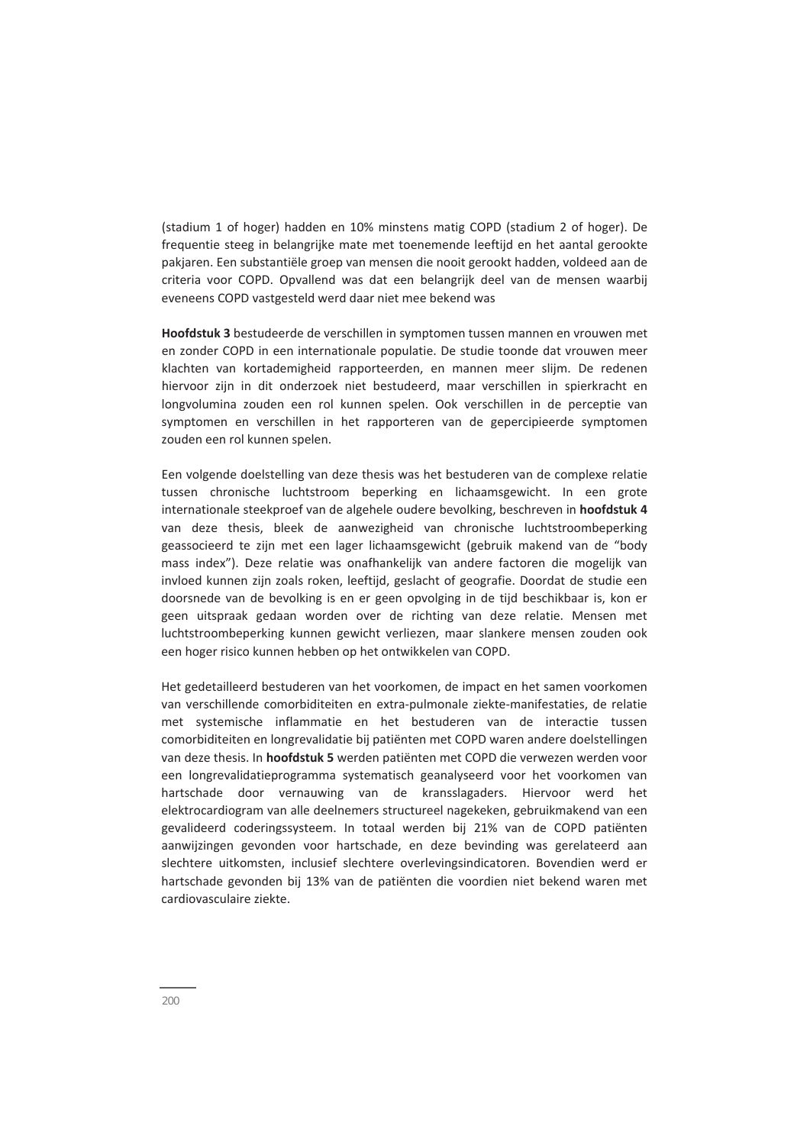(stadium 1 of hoger) hadden en 10% minstens matig COPD (stadium 2 of hoger). De frequentie steeg in belangrijke mate met toenemende leeftijd en het aantal gerookte pakjaren. Een substantiële groep van mensen die nooit gerookt hadden, voldeed aan de criteria voor COPD. Opvallend was dat een belangrijk deel van de mensen waarbij eveneens COPD vastgesteld werd daar niet mee bekend was

**Hoofdstuk 3** bestudeerde de verschillen in symptomen tussen mannen en vrouwen met en zonder COPD in een internationale populatie. De studie toonde dat vrouwen meer klachten van kortademigheid rapporteerden, en mannen meer slijm. De redenen hiervoor zijn in dit onderzoek niet bestudeerd, maar verschillen in spierkracht en longvolumina zouden een rol kunnen spelen. Ook verschillen in de perceptie van symptomen en verschillen in het rapporteren van de gepercipieerde symptomen zouden een rol kunnen spelen.

Een volgende doelstelling van deze thesis was het bestuderen van de complexe relatie tussen chronische luchtstroom beperking en lichaamsgewicht. In een grote internationale steekproef van de algehele oudere bevolking, beschreven in **hoofdstuk 4** van deze thesis, bleek de aanwezigheid van chronische luchtstroombeperking geassocieerd te zijn met een lager lichaamsgewicht (gebruik makend van de "body mass index"). Deze relatie was onafhankelijk van andere factoren die mogelijk van invloed kunnen zijn zoals roken, leeftijd, geslacht of geografie. Doordat de studie een doorsnede van de bevolking is en er geen opvolging in de tijd beschikbaar is, kon er geen uitspraak gedaan worden over de richting van deze relatie. Mensen met luchtstroombeperking kunnen gewicht verliezen, maar slankere mensen zouden ook een hoger risico kunnen hebben op het ontwikkelen van COPD.

Het gedetailleerd bestuderen van het voorkomen, de impact en het samen voorkomen van verschillende comorbiditeiten en extra‐pulmonale ziekte‐manifestaties, de relatie met systemische inflammatie en het bestuderen van de interactie tussen comorbiditeiten en longrevalidatie bij patiënten met COPD waren andere doelstellingen van deze thesis. In **hoofdstuk 5** werden patiënten met COPD die verwezen werden voor een longrevalidatieprogramma systematisch geanalyseerd voor het voorkomen van hartschade door vernauwing van de kransslagaders. Hiervoor werd het elektrocardiogram van alle deelnemers structureel nagekeken, gebruikmakend van een gevalideerd coderingssysteem. In totaal werden bij 21% van de COPD patiënten aanwijzingen gevonden voor hartschade, en deze bevinding was gerelateerd aan slechtere uitkomsten, inclusief slechtere overlevingsindicatoren. Bovendien werd er hartschade gevonden bij 13% van de patiënten die voordien niet bekend waren met cardiovasculaire ziekte.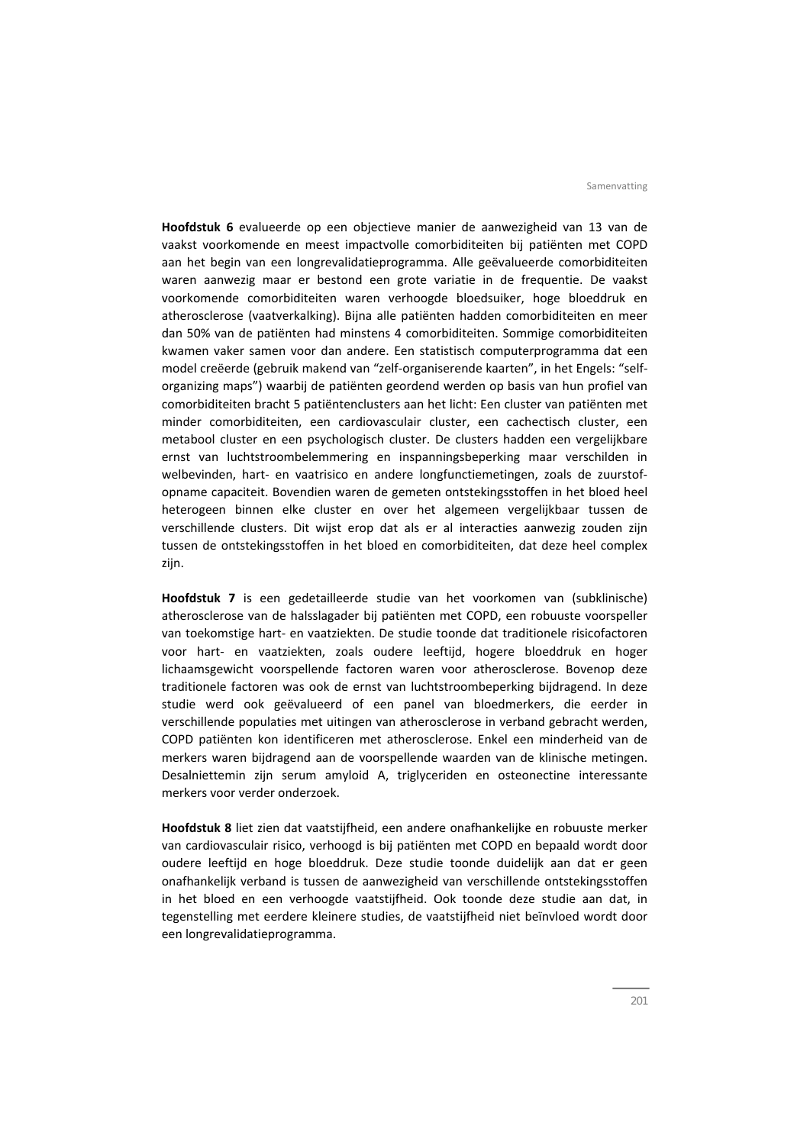**Hoofdstuk 6** evalueerde op een objectieve manier de aanwezigheid van 13 van de vaakst voorkomende en meest impactvolle comorbiditeiten bij patiënten met COPD aan het begin van een longrevalidatieprogramma. Alle geëvalueerde comorbiditeiten waren aanwezig maar er bestond een grote variatie in de frequentie. De vaakst voorkomende comorbiditeiten waren verhoogde bloedsuiker, hoge bloeddruk en atherosclerose (vaatverkalking). Bijna alle patiënten hadden comorbiditeiten en meer dan 50% van de patiënten had minstens 4 comorbiditeiten. Sommige comorbiditeiten kwamen vaker samen voor dan andere. Een statistisch computerprogramma dat een model creëerde (gebruik makend van "zelf-organiserende kaarten", in het Engels: "selforganizing maps") waarbij de patiënten geordend werden op basis van hun profiel van comorbiditeiten bracht 5 patiëntenclusters aan het licht: Een cluster van patiënten met minder comorbiditeiten, een cardiovasculair cluster, een cachectisch cluster, een metabool cluster en een psychologisch cluster. De clusters hadden een vergelijkbare ernst van luchtstroombelemmering en inspanningsbeperking maar verschilden in welbevinden, hart- en vaatrisico en andere longfunctiemetingen, zoals de zuurstofopname capaciteit. Bovendien waren de gemeten ontstekingsstoffen in het bloed heel heterogeen binnen elke cluster en over het algemeen vergelijkbaar tussen de verschillende clusters. Dit wijst erop dat als er al interacties aanwezig zouden zijn tussen de ontstekingsstoffen in het bloed en comorbiditeiten, dat deze heel complex zijn.

**Hoofdstuk 7** is een gedetailleerde studie van het voorkomen van (subklinische) atherosclerose van de halsslagader bij patiënten met COPD, een robuuste voorspeller van toekomstige hart- en vaatziekten. De studie toonde dat traditionele risicofactoren voor hart- en vaatziekten, zoals oudere leeftijd, hogere bloeddruk en hoger lichaamsgewicht voorspellende factoren waren voor atherosclerose. Bovenop deze traditionele factoren was ook de ernst van luchtstroombeperking bijdragend. In deze studie werd ook geëvalueerd of een panel van bloedmerkers, die eerder in verschillende populaties met uitingen van atherosclerose in verband gebracht werden, COPD patiënten kon identificeren met atherosclerose. Enkel een minderheid van de merkers waren bijdragend aan de voorspellende waarden van de klinische metingen. Desalniettemin zijn serum amyloid A, triglyceriden en osteonectine interessante merkers voor verder onderzoek.

**Hoofdstuk 8** liet zien dat vaatstijfheid, een andere onafhankelijke en robuuste merker van cardiovasculair risico, verhoogd is bij patiënten met COPD en bepaald wordt door oudere leeftijd en hoge bloeddruk. Deze studie toonde duidelijk aan dat er geen onafhankelijk verband is tussen de aanwezigheid van verschillende ontstekingsstoffen in het bloed en een verhoogde vaatstijfheid. Ook toonde deze studie aan dat, in tegenstelling met eerdere kleinere studies, de vaatstijfheid niet beïnvloed wordt door een longrevalidatieprogramma.